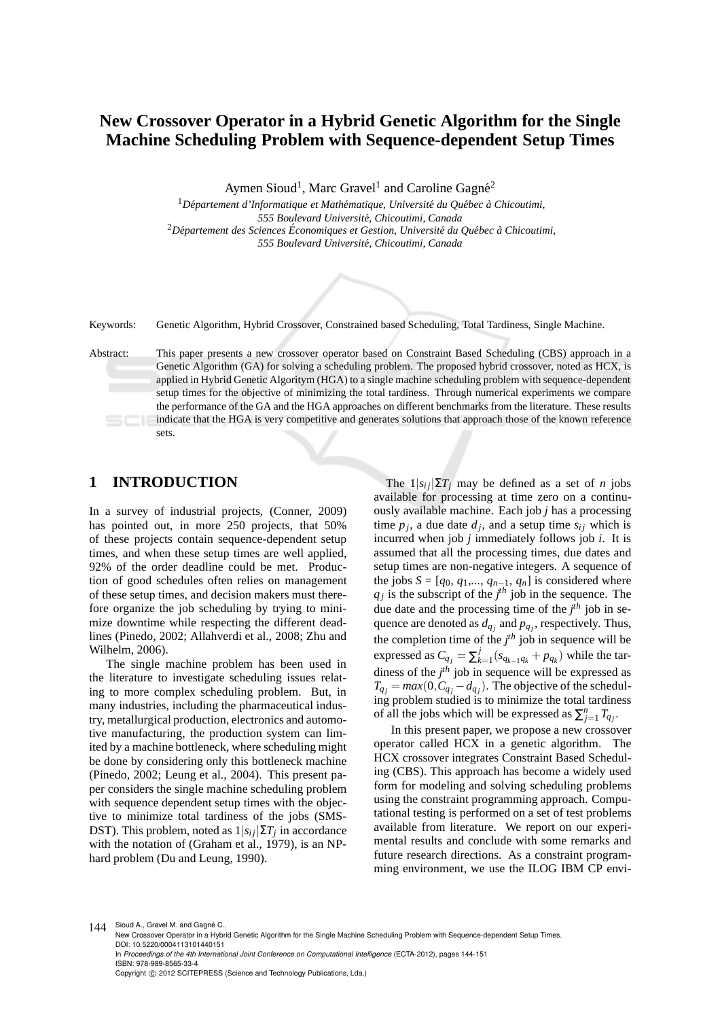# **New Crossover Operator in a Hybrid Genetic Algorithm for the Single Machine Scheduling Problem with Sequence-dependent Setup Times**

Aymen Sioud<sup>1</sup>, Marc Gravel<sup>1</sup> and Caroline Gagné<sup>2</sup>

<sup>1</sup>Département d'Informatique et Mathématique, Université du Québec à Chicoutimi, *555 Boulevard Universit´e, Chicoutimi, Canada* <sup>2</sup>*D´epartement des Sciences Economiques et Gestion, Universit´e du Qu´ebec `a Chicoutimi, ´ 555 Boulevard Universit´e, Chicoutimi, Canada*



#### Keywords: Genetic Algorithm, Hybrid Crossover, Constrained based Scheduling, Total Tardiness, Single Machine.

Abstract: This paper presents a new crossover operator based on Constraint Based Scheduling (CBS) approach in a Genetic Algorithm (GA) for solving a scheduling problem. The proposed hybrid crossover, noted as HCX, is applied in Hybrid Genetic Algoritym (HGA) to a single machine scheduling problem with sequence-dependent setup times for the objective of minimizing the total tardiness. Through numerical experiments we compare the performance of the GA and the HGA approaches on different benchmarks from the literature. These results indicate that the HGA is very competitive and generates solutions that approach those of the known reference sets.

## **1 INTRODUCTION**

In a survey of industrial projects, (Conner, 2009) has pointed out, in more 250 projects, that 50% of these projects contain sequence-dependent setup times, and when these setup times are well applied, 92% of the order deadline could be met. Production of good schedules often relies on management of these setup times, and decision makers must therefore organize the job scheduling by trying to minimize downtime while respecting the different deadlines (Pinedo, 2002; Allahverdi et al., 2008; Zhu and Wilhelm, 2006).

The single machine problem has been used in the literature to investigate scheduling issues relating to more complex scheduling problem. But, in many industries, including the pharmaceutical industry, metallurgical production, electronics and automotive manufacturing, the production system can limited by a machine bottleneck, where scheduling might be done by considering only this bottleneck machine (Pinedo, 2002; Leung et al., 2004). This present paper considers the single machine scheduling problem with sequence dependent setup times with the objective to minimize total tardiness of the jobs (SMS-DST). This problem, noted as  $1|s_{ij}|\Sigma T_j$  in accordance with the notation of (Graham et al., 1979), is an NPhard problem (Du and Leung, 1990).

The  $1|s_{ij}|\Sigma T_j$  may be defined as a set of *n* jobs available for processing at time zero on a continuously available machine. Each job *j* has a processing time  $p_j$ , a due date  $d_j$ , and a setup time  $s_{ij}$  which is incurred when job *j* immediately follows job *i*. It is assumed that all the processing times, due dates and setup times are non-negative integers. A sequence of the jobs  $S = [q_0, q_1, \dots, q_{n-1}, q_n]$  is considered where  $q_j$  is the subscript of the  $j<sup>th</sup>$  job in the sequence. The due date and the processing time of the *j th* job in sequence are denoted as *dq<sup>j</sup>* and *pq<sup>j</sup>* , respectively. Thus, the completion time of the *j th* job in sequence will be expressed as  $C_{q_j} = \sum_k^j$  $\int_{k=1}^{J} (s_{q_{k-1}q_k} + p_{q_k})$  while the tardiness of the *j th* job in sequence will be expressed as  $T_{q_j} = max(0, C_{q_j} - d_{q_j})$ . The objective of the scheduling problem studied is to minimize the total tardiness of all the jobs which will be expressed as  $\sum_{j=1}^{n} T_{q_j}$ .

In this present paper, we propose a new crossover operator called HCX in a genetic algorithm. The HCX crossover integrates Constraint Based Scheduling (CBS). This approach has become a widely used form for modeling and solving scheduling problems using the constraint programming approach. Computational testing is performed on a set of test problems available from literature. We report on our experimental results and conclude with some remarks and future research directions. As a constraint programming environment, we use the ILOG IBM CP envi-

144 Sioud A., Gravel M. and Gagné C..

New Crossover Operator in a Hybrid Genetic Algorithm for the Single Machine Scheduling Problem with Sequence-dependent Setup Times. DOI: 10.5220/0004113101440151

In *Proceedings of the 4th International Joint Conference on Computational Intelligence* (ECTA-2012), pages 144-151 ISBN: 978-989-8565-33-4

Copyright © 2012 SCITEPRESS (Science and Technology Publications, Lda.)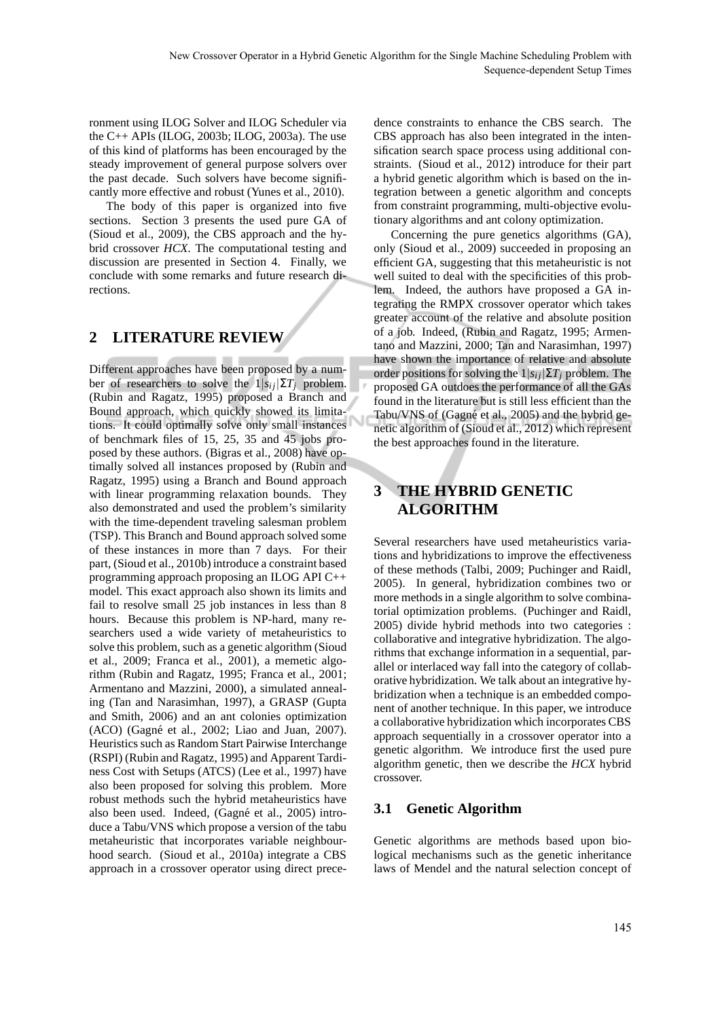ronment using ILOG Solver and ILOG Scheduler via the C++ APIs (ILOG, 2003b; ILOG, 2003a). The use of this kind of platforms has been encouraged by the steady improvement of general purpose solvers over the past decade. Such solvers have become significantly more effective and robust (Yunes et al., 2010).

The body of this paper is organized into five sections. Section 3 presents the used pure GA of (Sioud et al., 2009), the CBS approach and the hybrid crossover *HCX*. The computational testing and discussion are presented in Section 4. Finally, we conclude with some remarks and future research directions.

# **2 LITERATURE REVIEW**

Different approaches have been proposed by a number of researchers to solve the  $1|s_{ij}|\Sigma T_i$  problem. (Rubin and Ragatz, 1995) proposed a Branch and Bound approach, which quickly showed its limitations. It could optimally solve only small instances of benchmark files of 15, 25, 35 and 45 jobs proposed by these authors. (Bigras et al., 2008) have optimally solved all instances proposed by (Rubin and Ragatz, 1995) using a Branch and Bound approach with linear programming relaxation bounds. They also demonstrated and used the problem's similarity with the time-dependent traveling salesman problem (TSP). This Branch and Bound approach solved some of these instances in more than 7 days. For their part, (Sioud et al., 2010b) introduce a constraint based programming approach proposing an ILOG API C++ model. This exact approach also shown its limits and fail to resolve small 25 job instances in less than 8 hours. Because this problem is NP-hard, many researchers used a wide variety of metaheuristics to solve this problem, such as a genetic algorithm (Sioud et al., 2009; Franca et al., 2001), a memetic algorithm (Rubin and Ragatz, 1995; Franca et al., 2001; Armentano and Mazzini, 2000), a simulated annealing (Tan and Narasimhan, 1997), a GRASP (Gupta and Smith, 2006) and an ant colonies optimization (ACO) (Gagné et al., 2002; Liao and Juan, 2007). Heuristics such as Random Start Pairwise Interchange (RSPI) (Rubin and Ragatz, 1995) and Apparent Tardiness Cost with Setups (ATCS) (Lee et al., 1997) have also been proposed for solving this problem. More robust methods such the hybrid metaheuristics have also been used. Indeed, (Gagné et al., 2005) introduce a Tabu/VNS which propose a version of the tabu metaheuristic that incorporates variable neighbourhood search. (Sioud et al., 2010a) integrate a CBS approach in a crossover operator using direct precedence constraints to enhance the CBS search. The CBS approach has also been integrated in the intensification search space process using additional constraints. (Sioud et al., 2012) introduce for their part a hybrid genetic algorithm which is based on the integration between a genetic algorithm and concepts from constraint programming, multi-objective evolutionary algorithms and ant colony optimization.

Concerning the pure genetics algorithms (GA), only (Sioud et al., 2009) succeeded in proposing an efficient GA, suggesting that this metaheuristic is not well suited to deal with the specificities of this problem. Indeed, the authors have proposed a GA integrating the RMPX crossover operator which takes greater account of the relative and absolute position of a job. Indeed, (Rubin and Ragatz, 1995; Armentano and Mazzini, 2000; Tan and Narasimhan, 1997) have shown the importance of relative and absolute order positions for solving the  $1|s_{ij}|\Sigma T_j$  problem. The proposed GA outdoes the performance of all the GAs found in the literature but is still less efficient than the Tabu/VNS of (Gagné et al., 2005) and the hybrid genetic algorithm of (Sioud et al., 2012) which represent the best approaches found in the literature.

# **3 THE HYBRID GENETIC ALGORITHM**

Several researchers have used metaheuristics variations and hybridizations to improve the effectiveness of these methods (Talbi, 2009; Puchinger and Raidl, 2005). In general, hybridization combines two or more methods in a single algorithm to solve combinatorial optimization problems. (Puchinger and Raidl, 2005) divide hybrid methods into two categories : collaborative and integrative hybridization. The algorithms that exchange information in a sequential, parallel or interlaced way fall into the category of collaborative hybridization. We talk about an integrative hybridization when a technique is an embedded component of another technique. In this paper, we introduce a collaborative hybridization which incorporates CBS approach sequentially in a crossover operator into a genetic algorithm. We introduce first the used pure algorithm genetic, then we describe the *HCX* hybrid crossover.

### **3.1 Genetic Algorithm**

Genetic algorithms are methods based upon biological mechanisms such as the genetic inheritance laws of Mendel and the natural selection concept of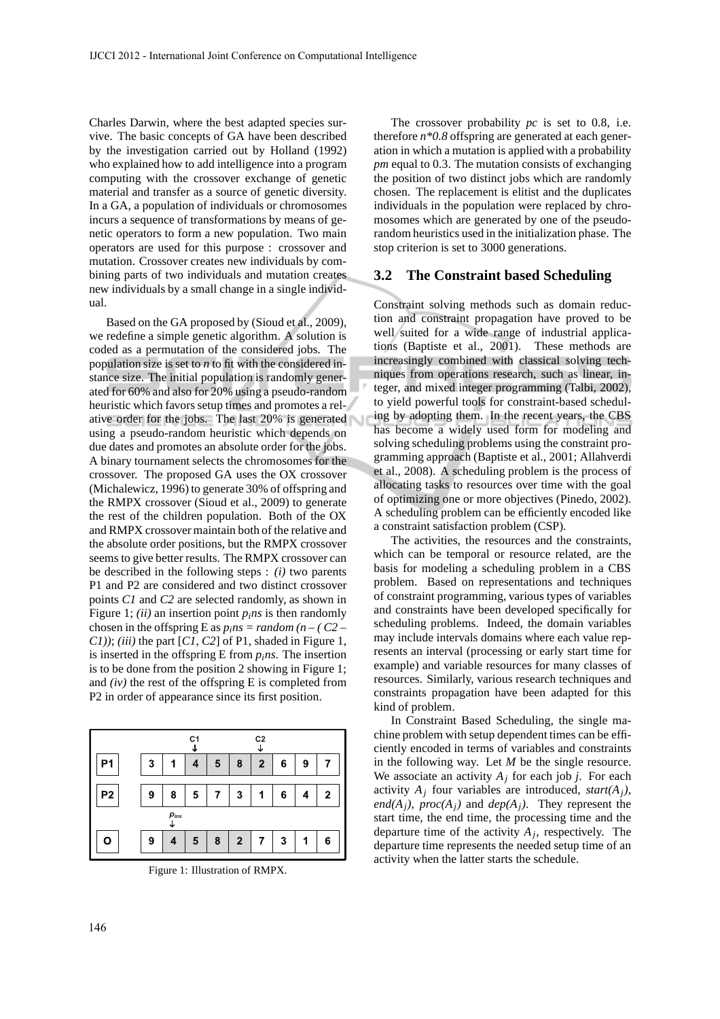Charles Darwin, where the best adapted species survive. The basic concepts of GA have been described by the investigation carried out by Holland (1992) who explained how to add intelligence into a program computing with the crossover exchange of genetic material and transfer as a source of genetic diversity. In a GA, a population of individuals or chromosomes incurs a sequence of transformations by means of genetic operators to form a new population. Two main operators are used for this purpose : crossover and mutation. Crossover creates new individuals by combining parts of two individuals and mutation creates new individuals by a small change in a single individual.

Based on the GA proposed by (Sioud et al., 2009), we redefine a simple genetic algorithm. A solution is coded as a permutation of the considered jobs. The population size is set to *n* to fit with the considered instance size. The initial population is randomly generated for 60% and also for 20% using a pseudo-random heuristic which favors setup times and promotes a relative order for the jobs. The last 20% is generated using a pseudo-random heuristic which depends on due dates and promotes an absolute order for the jobs. A binary tournament selects the chromosomes for the crossover. The proposed GA uses the OX crossover (Michalewicz, 1996) to generate 30% of offspring and the RMPX crossover (Sioud et al., 2009) to generate the rest of the children population. Both of the OX and RMPX crossover maintain both of the relative and the absolute order positions, but the RMPX crossover seems to give better results. The RMPX crossover can be described in the following steps : *(i)* two parents P1 and P2 are considered and two distinct crossover points *C1* and *C2* are selected randomly, as shown in Figure 1; *(ii)* an insertion point  $p_i$ *ns* is then randomly chosen in the offspring E as  $p_i$ *ns = random* (*n* – (C2 – *C1))*; *(iii)* the part [*C1*, *C2*] of P1, shaded in Figure 1, is inserted in the offspring E from  $p_i$ *ns*. The insertion is to be done from the position 2 showing in Figure 1; and *(iv)* the rest of the offspring E is completed from P2 in order of appearance since its first position.

|                |   |   | C <sub>1</sub><br>↓ |   |                | C <sub>2</sub> |   |   |   |  |  |
|----------------|---|---|---------------------|---|----------------|----------------|---|---|---|--|--|
| Ρ1             | 3 | 1 |                     | 5 | 8              | $\mathbf{2}$   | 6 | 9 |   |  |  |
| P <sub>2</sub> | 9 | 8 | 5                   | 7 | 3              | 1              | 6 | 4 | 2 |  |  |
| $p_{ins}$      |   |   |                     |   |                |                |   |   |   |  |  |
|                | 9 |   | 5                   | 8 | $\overline{2}$ | 7              | 3 |   | 6 |  |  |

Figure 1: Illustration of RMPX.

The crossover probability *pc* is set to 0.8, i.e. therefore *n\*0.8* offspring are generated at each generation in which a mutation is applied with a probability *pm* equal to 0.3. The mutation consists of exchanging the position of two distinct jobs which are randomly chosen. The replacement is elitist and the duplicates individuals in the population were replaced by chromosomes which are generated by one of the pseudorandom heuristics used in the initialization phase. The stop criterion is set to 3000 generations.

#### **3.2 The Constraint based Scheduling**

Constraint solving methods such as domain reduction and constraint propagation have proved to be well suited for a wide range of industrial applications (Baptiste et al., 2001). These methods are increasingly combined with classical solving techniques from operations research, such as linear, integer, and mixed integer programming (Talbi, 2002), to yield powerful tools for constraint-based scheduling by adopting them. In the recent years, the CBS has become a widely used form for modeling and solving scheduling problems using the constraint programming approach (Baptiste et al., 2001; Allahverdi et al., 2008). A scheduling problem is the process of allocating tasks to resources over time with the goal of optimizing one or more objectives (Pinedo, 2002). A scheduling problem can be efficiently encoded like a constraint satisfaction problem (CSP).

The activities, the resources and the constraints, which can be temporal or resource related, are the basis for modeling a scheduling problem in a CBS problem. Based on representations and techniques of constraint programming, various types of variables and constraints have been developed specifically for scheduling problems. Indeed, the domain variables may include intervals domains where each value represents an interval (processing or early start time for example) and variable resources for many classes of resources. Similarly, various research techniques and constraints propagation have been adapted for this kind of problem.

In Constraint Based Scheduling, the single machine problem with setup dependent times can be efficiently encoded in terms of variables and constraints in the following way. Let *M* be the single resource. We associate an activity  $A_j$  for each job *j*. For each activity  $A_i$  four variables are introduced, *start(A<sub>i</sub>*), *end*( $A_j$ ), *proc*( $A_j$ ) and *dep*( $A_j$ ). They represent the start time, the end time, the processing time and the departure time of the activity  $A_j$ , respectively. The departure time represents the needed setup time of an activity when the latter starts the schedule.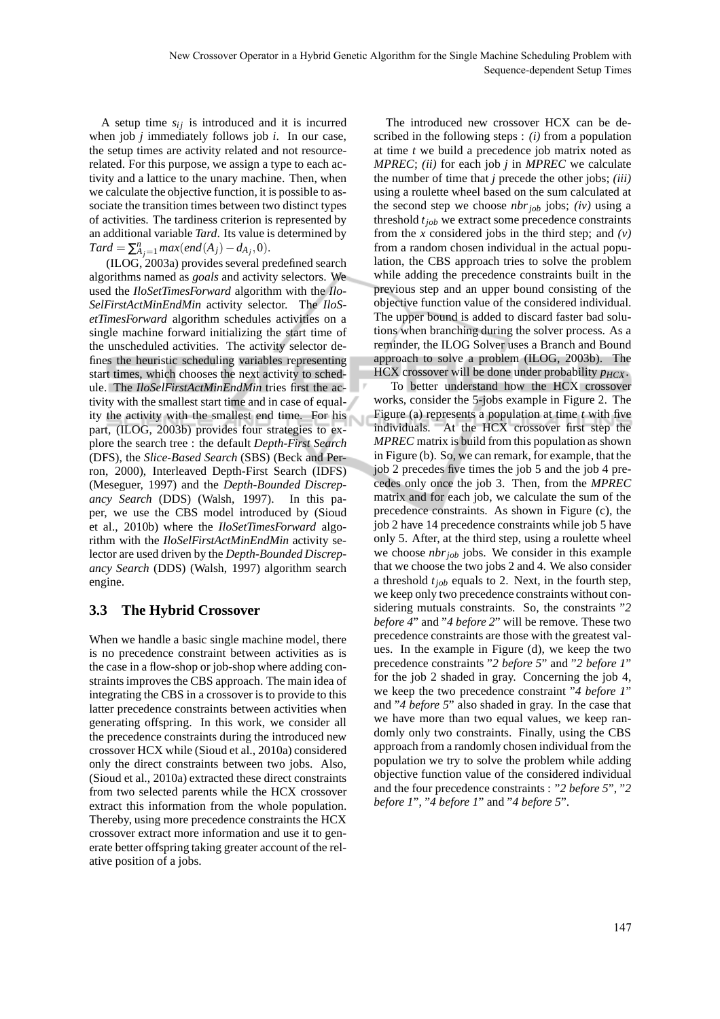A setup time  $s_{ij}$  is introduced and it is incurred when job *j* immediately follows job *i*. In our case, the setup times are activity related and not resourcerelated. For this purpose, we assign a type to each activity and a lattice to the unary machine. Then, when we calculate the objective function, it is possible to associate the transition times between two distinct types of activities. The tardiness criterion is represented by an additional variable *Tard*. Its value is determined by  $\text{Card} = \sum_{A_j=1}^{n} \max(\text{end}(A_j) - d_{A_j}, 0).$ 

(ILOG, 2003a) provides several predefined search algorithms named as *goals* and activity selectors. We used the *IloSetTimesForward* algorithm with the *Ilo-SelFirstActMinEndMin* activity selector. The *IloSetTimesForward* algorithm schedules activities on a single machine forward initializing the start time of the unscheduled activities. The activity selector defines the heuristic scheduling variables representing start times, which chooses the next activity to schedule. The *IloSelFirstActMinEndMin* tries first the activity with the smallest start time and in case of equality the activity with the smallest end time. For his part, (ILOG, 2003b) provides four strategies to explore the search tree : the default *Depth-First Search* (DFS), the *Slice-Based Search* (SBS) (Beck and Perron, 2000), Interleaved Depth-First Search (IDFS) (Meseguer, 1997) and the *Depth-Bounded Discrepancy Search* (DDS) (Walsh, 1997). In this paper, we use the CBS model introduced by (Sioud et al., 2010b) where the *IloSetTimesForward* algorithm with the *IloSelFirstActMinEndMin* activity selector are used driven by the *Depth-Bounded Discrepancy Search* (DDS) (Walsh, 1997) algorithm search engine.

### **3.3 The Hybrid Crossover**

When we handle a basic single machine model, there is no precedence constraint between activities as is the case in a flow-shop or job-shop where adding constraints improves the CBS approach. The main idea of integrating the CBS in a crossover is to provide to this latter precedence constraints between activities when generating offspring. In this work, we consider all the precedence constraints during the introduced new crossover HCX while (Sioud et al., 2010a) considered only the direct constraints between two jobs. Also, (Sioud et al., 2010a) extracted these direct constraints from two selected parents while the HCX crossover extract this information from the whole population. Thereby, using more precedence constraints the HCX crossover extract more information and use it to generate better offspring taking greater account of the relative position of a jobs.

The introduced new crossover HCX can be described in the following steps : *(i)* from a population at time *t* we build a precedence job matrix noted as *MPREC*; *(ii)* for each job *j* in *MPREC* we calculate the number of time that *j* precede the other jobs; *(iii)* using a roulette wheel based on the sum calculated at the second step we choose *nbrjob* jobs; *(iv)* using a threshold *tjob* we extract some precedence constraints from the *x* considered jobs in the third step; and  $(v)$ from a random chosen individual in the actual population, the CBS approach tries to solve the problem while adding the precedence constraints built in the previous step and an upper bound consisting of the objective function value of the considered individual. The upper bound is added to discard faster bad solutions when branching during the solver process. As a reminder, the ILOG Solver uses a Branch and Bound approach to solve a problem (ILOG, 2003b). The HCX crossover will be done under probability *pHCX* .

To better understand how the HCX crossover works, consider the 5-jobs example in Figure 2. The Figure (a) represents a population at time *t* with five individuals. At the HCX crossover first step the *MPREC* matrix is build from this population as shown in Figure (b). So, we can remark, for example, that the job 2 precedes five times the job 5 and the job 4 precedes only once the job 3. Then, from the *MPREC* matrix and for each job, we calculate the sum of the precedence constraints. As shown in Figure (c), the job 2 have 14 precedence constraints while job 5 have only 5. After, at the third step, using a roulette wheel we choose *nbrjob* jobs. We consider in this example that we choose the two jobs 2 and 4. We also consider a threshold *tjob* equals to 2. Next, in the fourth step, we keep only two precedence constraints without considering mutuals constraints. So, the constraints "*2 before 4*" and "*4 before 2*" will be remove. These two precedence constraints are those with the greatest values. In the example in Figure (d), we keep the two precedence constraints "*2 before 5*" and "*2 before 1*" for the job 2 shaded in gray. Concerning the job 4, we keep the two precedence constraint "*4 before 1*" and "*4 before 5*" also shaded in gray. In the case that we have more than two equal values, we keep randomly only two constraints. Finally, using the CBS approach from a randomly chosen individual from the population we try to solve the problem while adding objective function value of the considered individual and the four precedence constraints : "*2 before 5*", "*2 before 1*", "*4 before 1*" and "*4 before 5*".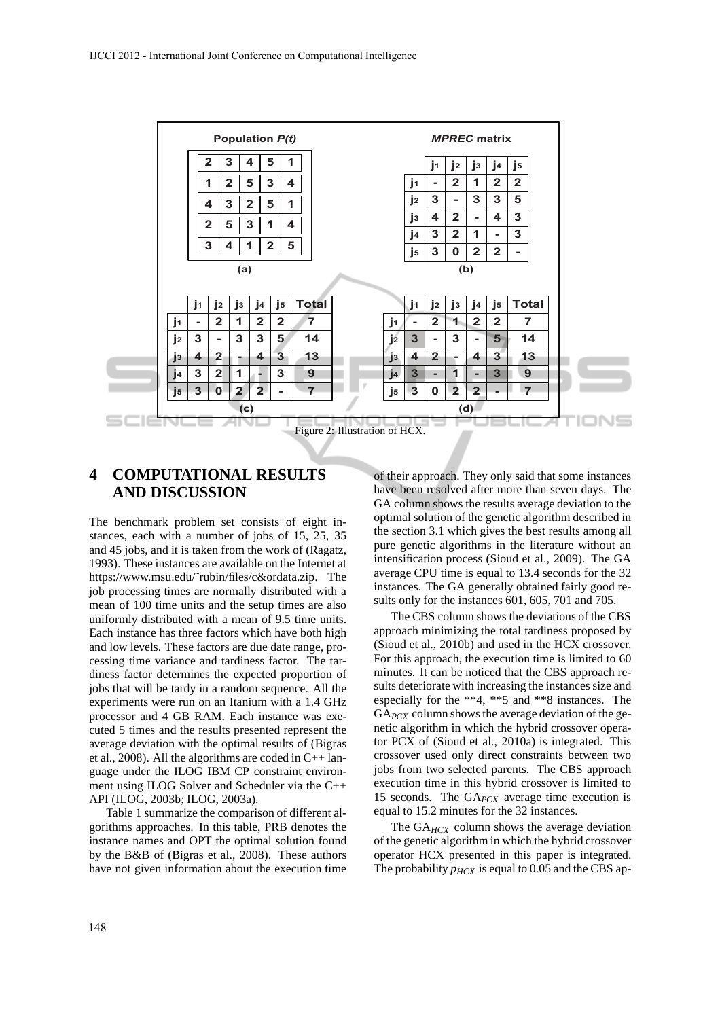

## **4 COMPUTATIONAL RESULTS AND DISCUSSION**

The benchmark problem set consists of eight instances, each with a number of jobs of 15, 25, 35 and 45 jobs, and it is taken from the work of (Ragatz, 1993). These instances are available on the Internet at https://www.msu.edu/˜rubin/files/c&ordata.zip. The job processing times are normally distributed with a mean of 100 time units and the setup times are also uniformly distributed with a mean of 9.5 time units. Each instance has three factors which have both high and low levels. These factors are due date range, processing time variance and tardiness factor. The tardiness factor determines the expected proportion of jobs that will be tardy in a random sequence. All the experiments were run on an Itanium with a 1.4 GHz processor and 4 GB RAM. Each instance was executed 5 times and the results presented represent the average deviation with the optimal results of (Bigras et al., 2008). All the algorithms are coded in C++ language under the ILOG IBM CP constraint environment using ILOG Solver and Scheduler via the C++ API (ILOG, 2003b; ILOG, 2003a).

Table 1 summarize the comparison of different algorithms approaches. In this table, PRB denotes the instance names and OPT the optimal solution found by the B&B of (Bigras et al., 2008). These authors have not given information about the execution time

of their approach. They only said that some instances have been resolved after more than seven days. The GA column shows the results average deviation to the optimal solution of the genetic algorithm described in the section 3.1 which gives the best results among all pure genetic algorithms in the literature without an intensification process (Sioud et al., 2009). The GA average CPU time is equal to 13.4 seconds for the 32 instances. The GA generally obtained fairly good results only for the instances 601, 605, 701 and 705.

The CBS column shows the deviations of the CBS approach minimizing the total tardiness proposed by (Sioud et al., 2010b) and used in the HCX crossover. For this approach, the execution time is limited to 60 minutes. It can be noticed that the CBS approach results deteriorate with increasing the instances size and especially for the \*\*4, \*\*5 and \*\*8 instances. The GA*PCX* column shows the average deviation of the genetic algorithm in which the hybrid crossover operator PCX of (Sioud et al., 2010a) is integrated. This crossover used only direct constraints between two jobs from two selected parents. The CBS approach execution time in this hybrid crossover is limited to 15 seconds. The GA*PCX* average time execution is equal to 15.2 minutes for the 32 instances.

The GA<sub>HCX</sub> column shows the average deviation of the genetic algorithm in which the hybrid crossover operator HCX presented in this paper is integrated. The probability  $p_{HCX}$  is equal to 0.05 and the CBS ap-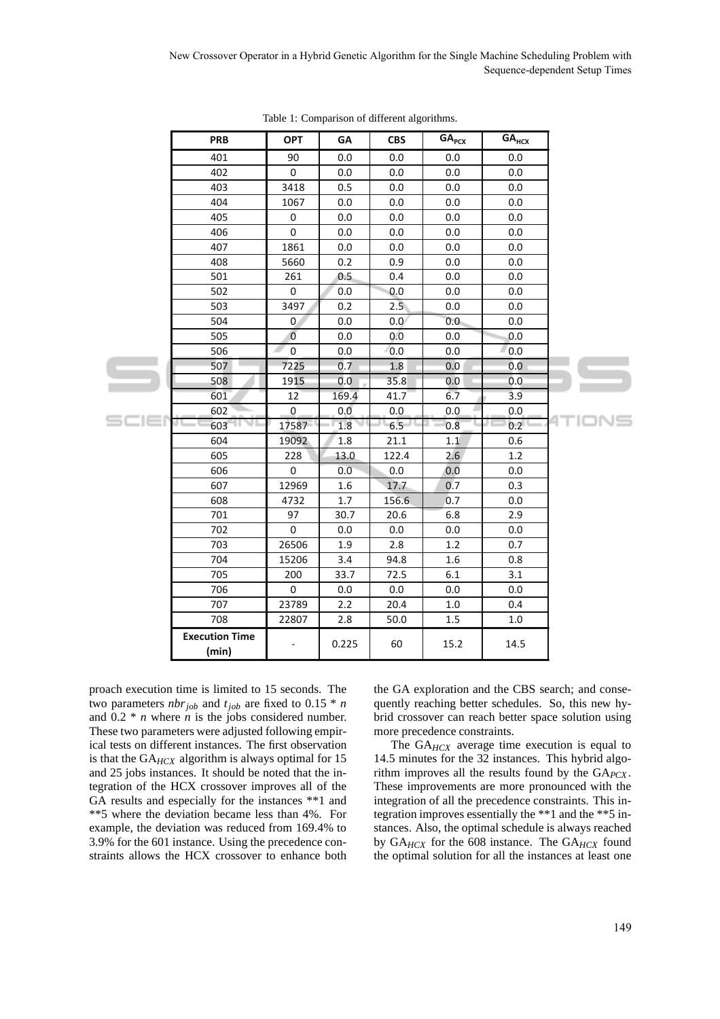|       | <b>PRB</b>                     | <b>OPT</b>     | GΑ    | <b>CBS</b>       | GA <sub>PCX</sub> | $GA_{HCX}$ |  |
|-------|--------------------------------|----------------|-------|------------------|-------------------|------------|--|
|       | 401                            | 90             | 0.0   | 0.0              | 0.0               | 0.0        |  |
|       | 402                            | 0              | 0.0   | 0.0              | 0.0               | 0.0        |  |
|       | 403                            | 3418           | 0.5   | 0.0              | 0.0               | 0.0        |  |
|       | 404                            | 1067           | 0.0   | 0.0              | 0.0               | 0.0        |  |
|       |                                |                |       |                  |                   |            |  |
| scier | 405                            | $\pmb{0}$      | 0.0   | 0.0              | 0.0               | 0.0        |  |
|       | 406                            | $\pmb{0}$      | 0.0   | 0.0              | 0.0               | 0.0        |  |
|       | 407                            | 1861           | 0.0   | 0.0              | 0.0               | 0.0        |  |
|       | 408                            | 5660           | 0.2   | 0.9              | 0.0               | 0.0        |  |
|       | 501                            | 261            | 0.5   | 0.4              | 0.0               | 0.0        |  |
|       | 502                            | 0              | 0.0   | 0.0              | 0.0               | 0.0        |  |
|       | 503                            | 3497           | 0.2   | 2.5              | 0.0               | 0.0        |  |
|       | 504                            | 0              | 0.0   | 0.0 <sub>1</sub> | 0.0               | 0.0        |  |
|       | 505                            | $\overline{0}$ | 0.0   | 0.0              | 0.0               | 0.0        |  |
|       | 506                            | 0              | 0.0   | 0.0              | 0.0               | 0.0        |  |
|       | 507                            | 7225           | 0.7   | 1.8              | 0.0               | 0.0        |  |
|       | 508                            | 1915           | 0.0   | 35.8             | 0.0               | 0.0        |  |
|       | 601                            | 12             | 169.4 | 41.7             | 6.7               | 3.9        |  |
|       | 602                            | $\pmb{0}$      | 0.0   | 0.0              | 0.0               | 0.0        |  |
|       | 603                            | 17587          | 1.8   | 6.5              | 0.8               | a v<br>0.2 |  |
|       | 604                            | 19092          | 1.8   | 21.1             | 1.1               | 0.6        |  |
|       | 605                            | 228            | 13.0  | 122.4            | 2.6               | 1.2        |  |
|       | 606                            | 0              | 0.0   | 0.0              | 0.0               | 0.0        |  |
|       | 607                            | 12969          | 1.6   | 17.7             | 0.7               | 0.3        |  |
|       | 608                            | 4732           | 1.7   | 156.6            | 0.7               | 0.0        |  |
|       | 701                            | 97             | 30.7  | 20.6             | 6.8               | 2.9        |  |
|       | 702                            | $\pmb{0}$      | 0.0   | 0.0              | 0.0               | 0.0        |  |
|       | 703                            | 26506          | 1.9   | 2.8              | 1.2               | 0.7        |  |
|       | 704                            | 15206          | 3.4   | 94.8             | 1.6               | 0.8        |  |
|       | 705                            | 200            | 33.7  | 72.5             | 6.1               | 3.1        |  |
|       | 706                            | 0              | 0.0   | 0.0              | 0.0               | 0.0        |  |
|       | 707                            | 23789          | 2.2   | 20.4             | 1.0               | 0.4        |  |
|       | 708                            | 22807          | 2.8   | 50.0             | 1.5               | $1.0\,$    |  |
|       | <b>Execution Time</b><br>(min) |                | 0.225 | 60               | 15.2              | 14.5       |  |

Table 1: Comparison of different algorithms.

proach execution time is limited to 15 seconds. The two parameters *nbrjob* and *tjob* are fixed to 0.15 \* *n* and 0.2 \* *n* where *n* is the jobs considered number. These two parameters were adjusted following empirical tests on different instances. The first observation is that the GA*HCX* algorithm is always optimal for 15 and 25 jobs instances. It should be noted that the integration of the HCX crossover improves all of the GA results and especially for the instances \*\*1 and \*\*5 where the deviation became less than 4%. For example, the deviation was reduced from 169.4% to 3.9% for the 601 instance. Using the precedence constraints allows the HCX crossover to enhance both the GA exploration and the CBS search; and consequently reaching better schedules. So, this new hybrid crossover can reach better space solution using more precedence constraints.

The GA*HCX* average time execution is equal to 14.5 minutes for the 32 instances. This hybrid algorithm improves all the results found by the GA*PCX* . These improvements are more pronounced with the integration of all the precedence constraints. This integration improves essentially the \*\*1 and the \*\*5 instances. Also, the optimal schedule is always reached by GA*HCX* for the 608 instance. The GA*HCX* found the optimal solution for all the instances at least one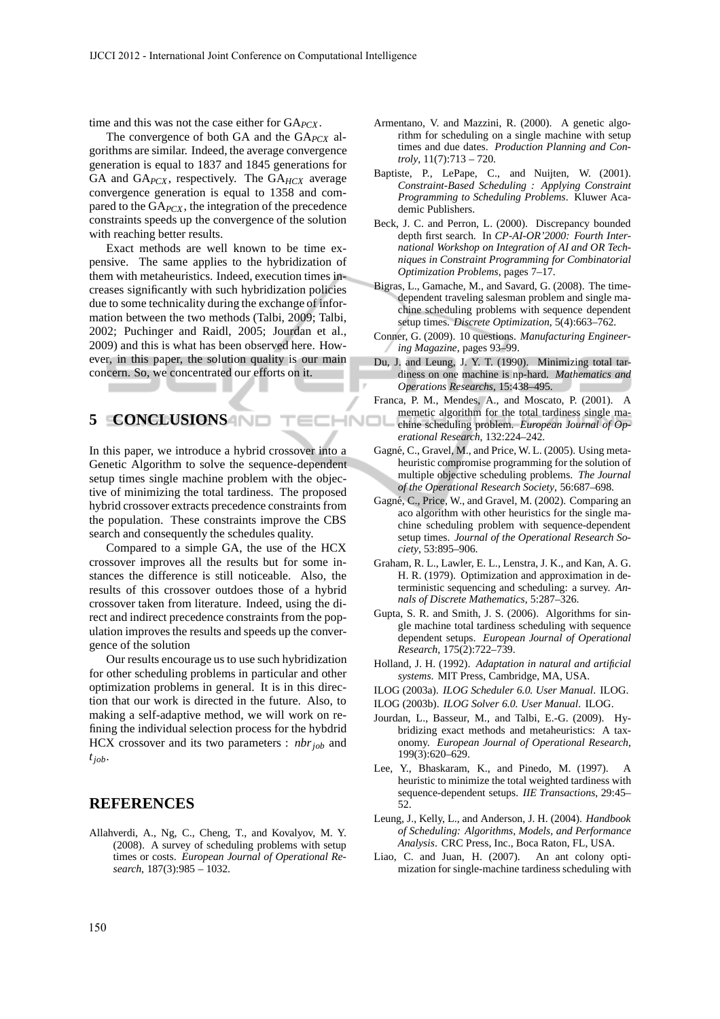time and this was not the case either for GA*PCX* .

The convergence of both GA and the GA*PCX* algorithms are similar. Indeed, the average convergence generation is equal to 1837 and 1845 generations for GA and GA*PCX* , respectively. The GA*HCX* average convergence generation is equal to 1358 and compared to the GA*PCX* , the integration of the precedence constraints speeds up the convergence of the solution with reaching better results.

Exact methods are well known to be time expensive. The same applies to the hybridization of them with metaheuristics. Indeed, execution times increases significantly with such hybridization policies due to some technicality during the exchange of information between the two methods (Talbi, 2009; Talbi, 2002; Puchinger and Raidl, 2005; Jourdan et al., 2009) and this is what has been observed here. However, in this paper, the solution quality is our main concern. So, we concentrated our efforts on it.

## **5 CONCLUSIONS**

In this paper, we introduce a hybrid crossover into a Genetic Algorithm to solve the sequence-dependent setup times single machine problem with the objective of minimizing the total tardiness. The proposed hybrid crossover extracts precedence constraints from the population. These constraints improve the CBS search and consequently the schedules quality.

ECHNO

Compared to a simple GA, the use of the HCX crossover improves all the results but for some instances the difference is still noticeable. Also, the results of this crossover outdoes those of a hybrid crossover taken from literature. Indeed, using the direct and indirect precedence constraints from the population improves the results and speeds up the convergence of the solution

Our results encourage us to use such hybridization for other scheduling problems in particular and other optimization problems in general. It is in this direction that our work is directed in the future. Also, to making a self-adaptive method, we will work on refining the individual selection process for the hybdrid HCX crossover and its two parameters : *nbrjob* and *tjob*.

### **REFERENCES**

Allahverdi, A., Ng, C., Cheng, T., and Kovalyov, M. Y. (2008). A survey of scheduling problems with setup times or costs. *European Journal of Operational Research*, 187(3):985 – 1032.

- Armentano, V. and Mazzini, R. (2000). A genetic algorithm for scheduling on a single machine with setup times and due dates. *Production Planning and Controly*, 11(7):713 – 720.
- Baptiste, P., LePape, C., and Nuijten, W. (2001). *Constraint-Based Scheduling : Applying Constraint Programming to Scheduling Problems*. Kluwer Academic Publishers.
- Beck, J. C. and Perron, L. (2000). Discrepancy bounded depth first search. In *CP-AI-OR'2000: Fourth International Workshop on Integration of AI and OR Techniques in Constraint Programming for Combinatorial Optimization Problems*, pages 7–17.
- Bigras, L., Gamache, M., and Savard, G. (2008). The timedependent traveling salesman problem and single machine scheduling problems with sequence dependent setup times. *Discrete Optimization*, 5(4):663–762.
- Conner, G. (2009). 10 questions. *Manufacturing Engineering Magazine*, pages 93–99.
- Du, J. and Leung, J. Y. T. (1990). Minimizing total tardiness on one machine is np-hard. *Mathematics and Operations Researchs*, 15:438–495.
- Franca, P. M., Mendes, A., and Moscato, P. (2001). A memetic algorithm for the total tardiness single ma-
- chine scheduling problem. *European Journal of Operational Research*, 132:224–242.
- Gagné, C., Gravel, M., and Price, W. L. (2005). Using metaheuristic compromise programming for the solution of multiple objective scheduling problems. *The Journal of the Operational Research Society*, 56:687–698.
- Gagné, C., Price, W., and Gravel, M. (2002). Comparing an aco algorithm with other heuristics for the single machine scheduling problem with sequence-dependent setup times. *Journal of the Operational Research Society*, 53:895–906.
- Graham, R. L., Lawler, E. L., Lenstra, J. K., and Kan, A. G. H. R. (1979). Optimization and approximation in deterministic sequencing and scheduling: a survey. *Annals of Discrete Mathematics*, 5:287–326.
- Gupta, S. R. and Smith, J. S. (2006). Algorithms for single machine total tardiness scheduling with sequence dependent setups. *European Journal of Operational Research*, 175(2):722–739.
- Holland, J. H. (1992). *Adaptation in natural and artificial systems*. MIT Press, Cambridge, MA, USA.
- ILOG (2003a). *ILOG Scheduler 6.0. User Manual*. ILOG.
- ILOG (2003b). *ILOG Solver 6.0. User Manual*. ILOG.
- Jourdan, L., Basseur, M., and Talbi, E.-G. (2009). Hybridizing exact methods and metaheuristics: A taxonomy. *European Journal of Operational Research*, 199(3):620–629.
- Lee, Y., Bhaskaram, K., and Pinedo, M. (1997). A heuristic to minimize the total weighted tardiness with sequence-dependent setups. *IIE Transactions*, 29:45– 52.
- Leung, J., Kelly, L., and Anderson, J. H. (2004). *Handbook of Scheduling: Algorithms, Models, and Performance Analysis*. CRC Press, Inc., Boca Raton, FL, USA.
- Liao, C. and Juan, H. (2007). An ant colony optimization for single-machine tardiness scheduling with